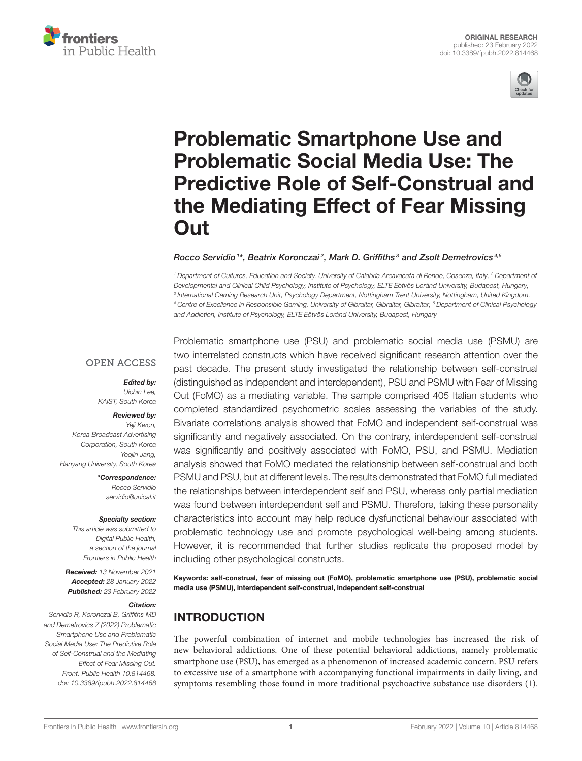



# Problematic Smartphone Use and Problematic Social Media Use: The [Predictive Role of Self-Construal and](https://www.frontiersin.org/articles/10.3389/fpubh.2022.814468/full) the Mediating Effect of Fear Missing **Out**

Rocco Servidio<sup>1\*</sup>, Beatrix Koronczai<sup>2</sup>, Mark D. Griffiths<sup>3</sup> and Zsolt Demetrovics<sup>4,5</sup>

<sup>1</sup> Department of Cultures, Education and Society, University of Calabria Arcavacata di Rende, Cosenza, Italy, <sup>2</sup> Department of Developmental and Clinical Child Psychology, Institute of Psychology, ELTE Eötvös Loránd University, Budapest, Hungary, 3 International Gaming Research Unit, Psychology Department, Nottingham Trent University, Nottingham, United Kingdom, <sup>4</sup> Centre of Excellence in Responsible Gaming, University of Gibraltar, Gibraltar, Gibraltar, <sup>5</sup> Department of Clinical Psychology and Addiction, Institute of Psychology, ELTE Eötvös Loránd University, Budapest, Hungary

#### **OPEN ACCESS**

Edited by: Uichin Lee, KAIST, South Korea

#### Reviewed by:

Yeji Kwon, Korea Broadcast Advertising Corporation, South Korea Yoojin Jang, Hanyang University, South Korea

> \*Correspondence: Rocco Servidio [servidio@unical.it](mailto:servidio@unical.it)

#### Specialty section:

This article was submitted to Digital Public Health, a section of the journal Frontiers in Public Health

Received: 13 November 2021 Accepted: 28 January 2022 Published: 23 February 2022

#### Citation:

Servidio R, Koronczai B, Griffiths MD and Demetrovics Z (2022) Problematic Smartphone Use and Problematic Social Media Use: The Predictive Role of Self-Construal and the Mediating Effect of Fear Missing Out. Front. Public Health 10:814468. doi: [10.3389/fpubh.2022.814468](https://doi.org/10.3389/fpubh.2022.814468) Problematic smartphone use (PSU) and problematic social media use (PSMU) are two interrelated constructs which have received significant research attention over the past decade. The present study investigated the relationship between self-construal (distinguished as independent and interdependent), PSU and PSMU with Fear of Missing Out (FoMO) as a mediating variable. The sample comprised 405 Italian students who completed standardized psychometric scales assessing the variables of the study. Bivariate correlations analysis showed that FoMO and independent self-construal was significantly and negatively associated. On the contrary, interdependent self-construal was significantly and positively associated with FoMO, PSU, and PSMU. Mediation analysis showed that FoMO mediated the relationship between self-construal and both PSMU and PSU, but at different levels. The results demonstrated that FoMO full mediated the relationships between interdependent self and PSU, whereas only partial mediation was found between interdependent self and PSMU. Therefore, taking these personality characteristics into account may help reduce dysfunctional behaviour associated with problematic technology use and promote psychological well-being among students. However, it is recommended that further studies replicate the proposed model by including other psychological constructs.

Keywords: self-construal, fear of missing out (FoMO), problematic smartphone use (PSU), problematic social media use (PSMU), interdependent self-construal, independent self-construal

# INTRODUCTION

The powerful combination of internet and mobile technologies has increased the risk of new behavioral addictions. One of these potential behavioral addictions, namely problematic smartphone use (PSU), has emerged as a phenomenon of increased academic concern. PSU refers to excessive use of a smartphone with accompanying functional impairments in daily living, and symptoms resembling those found in more traditional psychoactive substance use disorders [\(1\)](#page-7-0).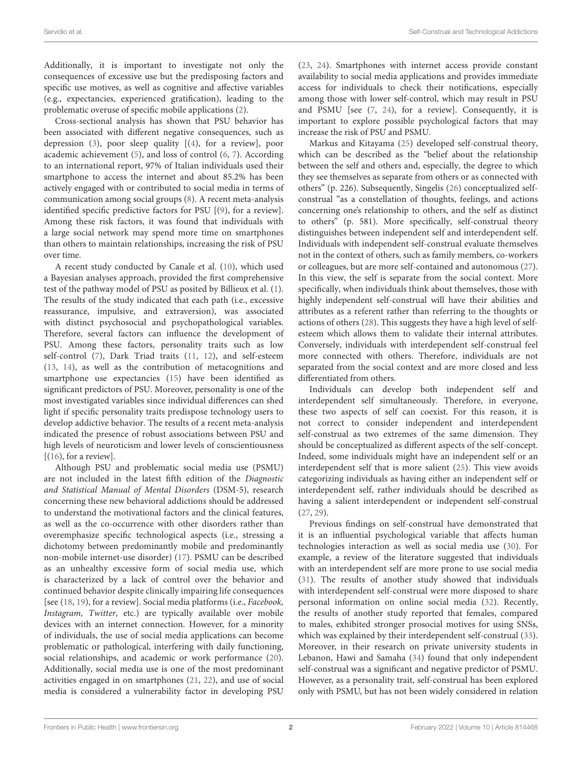Additionally, it is important to investigate not only the consequences of excessive use but the predisposing factors and specific use motives, as well as cognitive and affective variables (e.g., expectancies, experienced gratification), leading to the problematic overuse of specific mobile applications [\(2\)](#page-7-1).

Cross-sectional analysis has shown that PSU behavior has been associated with different negative consequences, such as depression [\(3\)](#page-7-2), poor sleep quality [[\(4\)](#page-7-3), for a review], poor academic achievement [\(5\)](#page-7-4), and loss of control [\(6,](#page-7-5) [7\)](#page-7-6). According to an international report, 97% of Italian individuals used their smartphone to access the internet and about 85.2% has been actively engaged with or contributed to social media in terms of communication among social groups [\(8\)](#page-7-7). A recent meta-analysis identified specific predictive factors for PSU [[\(9\)](#page-7-8), for a review]. Among these risk factors, it was found that individuals with a large social network may spend more time on smartphones than others to maintain relationships, increasing the risk of PSU over time.

A recent study conducted by Canale et al. [\(10\)](#page-7-9), which used a Bayesian analyses approach, provided the first comprehensive test of the pathway model of PSU as posited by Billieux et al. [\(1\)](#page-7-0). The results of the study indicated that each path (i.e., excessive reassurance, impulsive, and extraversion), was associated with distinct psychosocial and psychopathological variables. Therefore, several factors can influence the development of PSU. Among these factors, personality traits such as low self-control [\(7\)](#page-7-6), Dark Triad traits [\(11,](#page-7-10) [12\)](#page-7-11), and self-esteem [\(13,](#page-7-12) [14\)](#page-7-13), as well as the contribution of metacognitions and smartphone use expectancies [\(15\)](#page-7-14) have been identified as significant predictors of PSU. Moreover, personality is one of the most investigated variables since individual differences can shed light if specific personality traits predispose technology users to develop addictive behavior. The results of a recent meta-analysis indicated the presence of robust associations between PSU and high levels of neuroticism and lower levels of conscientiousness  $[(16)$  $[(16)$ , for a review].

Although PSU and problematic social media use (PSMU) are not included in the latest fifth edition of the Diagnostic and Statistical Manual of Mental Disorders (DSM-5), research concerning these new behavioral addictions should be addressed to understand the motivational factors and the clinical features, as well as the co-occurrence with other disorders rather than overemphasize specific technological aspects (i.e., stressing a dichotomy between predominantly mobile and predominantly non-mobile internet-use disorder) [\(17\)](#page-7-16). PSMU can be described as an unhealthy excessive form of social media use, which is characterized by a lack of control over the behavior and continued behavior despite clinically impairing life consequences [see [\(18,](#page-7-17) [19\)](#page-7-18), for a review]. Social media platforms (i.e., Facebook, Instagram, Twitter, etc.) are typically available over mobile devices with an internet connection. However, for a minority of individuals, the use of social media applications can become problematic or pathological, interfering with daily functioning, social relationships, and academic or work performance [\(20\)](#page-7-19). Additionally, social media use is one of the most predominant activities engaged in on smartphones [\(21,](#page-7-20) [22\)](#page-7-21), and use of social media is considered a vulnerability factor in developing PSU [\(23,](#page-7-22) [24\)](#page-7-23). Smartphones with internet access provide constant availability to social media applications and provides immediate access for individuals to check their notifications, especially among those with lower self-control, which may result in PSU and PSMU [see [\(7,](#page-7-6) [24\)](#page-7-23), for a review]. Consequently, it is important to explore possible psychological factors that may increase the risk of PSU and PSMU.

Markus and Kitayama [\(25\)](#page-7-24) developed self-construal theory, which can be described as the "belief about the relationship between the self and others and, especially, the degree to which they see themselves as separate from others or as connected with others" (p. 226). Subsequently, Singelis [\(26\)](#page-7-25) conceptualized selfconstrual "as a constellation of thoughts, feelings, and actions concerning one's relationship to others, and the self as distinct to others" (p. 581). More specifically, self-construal theory distinguishes between independent self and interdependent self. Individuals with independent self-construal evaluate themselves not in the context of others, such as family members, co-workers or colleagues, but are more self-contained and autonomous [\(27\)](#page-7-26). In this view, the self is separate from the social context. More specifically, when individuals think about themselves, those with highly independent self-construal will have their abilities and attributes as a referent rather than referring to the thoughts or actions of others [\(28\)](#page-7-27). This suggests they have a high level of selfesteem which allows them to validate their internal attributes. Conversely, individuals with interdependent self-construal feel more connected with others. Therefore, individuals are not separated from the social context and are more closed and less differentiated from others.

Individuals can develop both independent self and interdependent self simultaneously. Therefore, in everyone, these two aspects of self can coexist. For this reason, it is not correct to consider independent and interdependent self-construal as two extremes of the same dimension. They should be conceptualized as different aspects of the self-concept. Indeed, some individuals might have an independent self or an interdependent self that is more salient [\(25\)](#page-7-24). This view avoids categorizing individuals as having either an independent self or interdependent self, rather individuals should be described as having a salient interdependent or independent self-construal [\(27,](#page-7-26) [29\)](#page-7-28).

Previous findings on self-construal have demonstrated that it is an influential psychological variable that affects human technologies interaction as well as social media use [\(30\)](#page-7-29). For example, a review of the literature suggested that individuals with an interdependent self are more prone to use social media [\(31\)](#page-7-30). The results of another study showed that individuals with interdependent self-construal were more disposed to share personal information on online social media [\(32\)](#page-7-31). Recently, the results of another study reported that females, compared to males, exhibited stronger prosocial motives for using SNSs, which was explained by their interdependent self-construal [\(33\)](#page-8-0). Moreover, in their research on private university students in Lebanon, Hawi and Samaha [\(34\)](#page-8-1) found that only independent self-construal was a significant and negative predictor of PSMU. However, as a personality trait, self-construal has been explored only with PSMU, but has not been widely considered in relation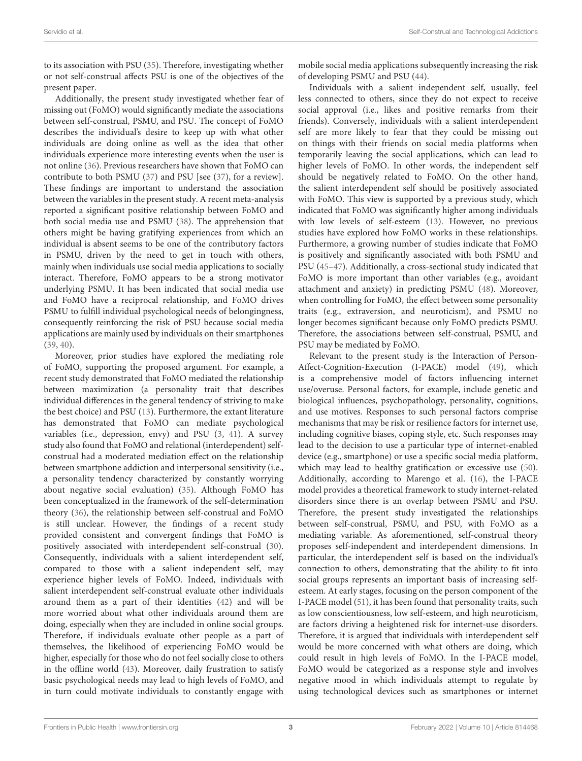to its association with PSU [\(35\)](#page-8-2). Therefore, investigating whether or not self-construal affects PSU is one of the objectives of the present paper.

Additionally, the present study investigated whether fear of missing out (FoMO) would significantly mediate the associations between self-construal, PSMU, and PSU. The concept of FoMO describes the individual's desire to keep up with what other individuals are doing online as well as the idea that other individuals experience more interesting events when the user is not online [\(36\)](#page-8-3). Previous researchers have shown that FoMO can contribute to both PSMU [\(37\)](#page-8-4) and PSU [see [\(37\)](#page-8-4), for a review]. These findings are important to understand the association between the variables in the present study. A recent meta-analysis reported a significant positive relationship between FoMO and both social media use and PSMU [\(38\)](#page-8-5). The apprehension that others might be having gratifying experiences from which an individual is absent seems to be one of the contributory factors in PSMU, driven by the need to get in touch with others, mainly when individuals use social media applications to socially interact. Therefore, FoMO appears to be a strong motivator underlying PSMU. It has been indicated that social media use and FoMO have a reciprocal relationship, and FoMO drives PSMU to fulfill individual psychological needs of belongingness, consequently reinforcing the risk of PSU because social media applications are mainly used by individuals on their smartphones  $(39, 40)$  $(39, 40)$  $(39, 40)$ .

Moreover, prior studies have explored the mediating role of FoMO, supporting the proposed argument. For example, a recent study demonstrated that FoMO mediated the relationship between maximization (a personality trait that describes individual differences in the general tendency of striving to make the best choice) and PSU [\(13\)](#page-7-12). Furthermore, the extant literature has demonstrated that FoMO can mediate psychological variables (i.e., depression, envy) and PSU [\(3,](#page-7-2) [41\)](#page-8-8). A survey study also found that FoMO and relational (interdependent) selfconstrual had a moderated mediation effect on the relationship between smartphone addiction and interpersonal sensitivity (i.e., a personality tendency characterized by constantly worrying about negative social evaluation) [\(35\)](#page-8-2). Although FoMO has been conceptualized in the framework of the self-determination theory [\(36\)](#page-8-3), the relationship between self-construal and FoMO is still unclear. However, the findings of a recent study provided consistent and convergent findings that FoMO is positively associated with interdependent self-construal [\(30\)](#page-7-29). Consequently, individuals with a salient interdependent self, compared to those with a salient independent self, may experience higher levels of FoMO. Indeed, individuals with salient interdependent self-construal evaluate other individuals around them as a part of their identities [\(42\)](#page-8-9) and will be more worried about what other individuals around them are doing, especially when they are included in online social groups. Therefore, if individuals evaluate other people as a part of themselves, the likelihood of experiencing FoMO would be higher, especially for those who do not feel socially close to others in the offline world [\(43\)](#page-8-10). Moreover, daily frustration to satisfy basic psychological needs may lead to high levels of FoMO, and in turn could motivate individuals to constantly engage with

mobile social media applications subsequently increasing the risk of developing PSMU and PSU [\(44\)](#page-8-11).

Individuals with a salient independent self, usually, feel less connected to others, since they do not expect to receive social approval (i.e., likes and positive remarks from their friends). Conversely, individuals with a salient interdependent self are more likely to fear that they could be missing out on things with their friends on social media platforms when temporarily leaving the social applications, which can lead to higher levels of FoMO. In other words, the independent self should be negatively related to FoMO. On the other hand, the salient interdependent self should be positively associated with FoMO. This view is supported by a previous study, which indicated that FoMO was significantly higher among individuals with low levels of self-esteem [\(13\)](#page-7-12). However, no previous studies have explored how FoMO works in these relationships. Furthermore, a growing number of studies indicate that FoMO is positively and significantly associated with both PSMU and PSU [\(45](#page-8-12)[–47\)](#page-8-13). Additionally, a cross-sectional study indicated that FoMO is more important than other variables (e.g., avoidant attachment and anxiety) in predicting PSMU [\(48\)](#page-8-14). Moreover, when controlling for FoMO, the effect between some personality traits (e.g., extraversion, and neuroticism), and PSMU no longer becomes significant because only FoMO predicts PSMU. Therefore, the associations between self-construal, PSMU, and PSU may be mediated by FoMO.

Relevant to the present study is the Interaction of Person-Affect-Cognition-Execution (I-PACE) model [\(49\)](#page-8-15), which is a comprehensive model of factors influencing internet use/overuse. Personal factors, for example, include genetic and biological influences, psychopathology, personality, cognitions, and use motives. Responses to such personal factors comprise mechanisms that may be risk or resilience factors for internet use, including cognitive biases, coping style, etc. Such responses may lead to the decision to use a particular type of internet-enabled device (e.g., smartphone) or use a specific social media platform, which may lead to healthy gratification or excessive use [\(50\)](#page-8-16). Additionally, according to Marengo et al. [\(16\)](#page-7-15), the I-PACE model provides a theoretical framework to study internet-related disorders since there is an overlap between PSMU and PSU. Therefore, the present study investigated the relationships between self-construal, PSMU, and PSU, with FoMO as a mediating variable. As aforementioned, self-construal theory proposes self-independent and interdependent dimensions. In particular, the interdependent self is based on the individual's connection to others, demonstrating that the ability to fit into social groups represents an important basis of increasing selfesteem. At early stages, focusing on the person component of the I-PACE model [\(51\)](#page-8-17), it has been found that personality traits, such as low conscientiousness, low self-esteem, and high neuroticism, are factors driving a heightened risk for internet-use disorders. Therefore, it is argued that individuals with interdependent self would be more concerned with what others are doing, which could result in high levels of FoMO. In the I-PACE model, FoMO would be categorized as a response style and involves negative mood in which individuals attempt to regulate by using technological devices such as smartphones or internet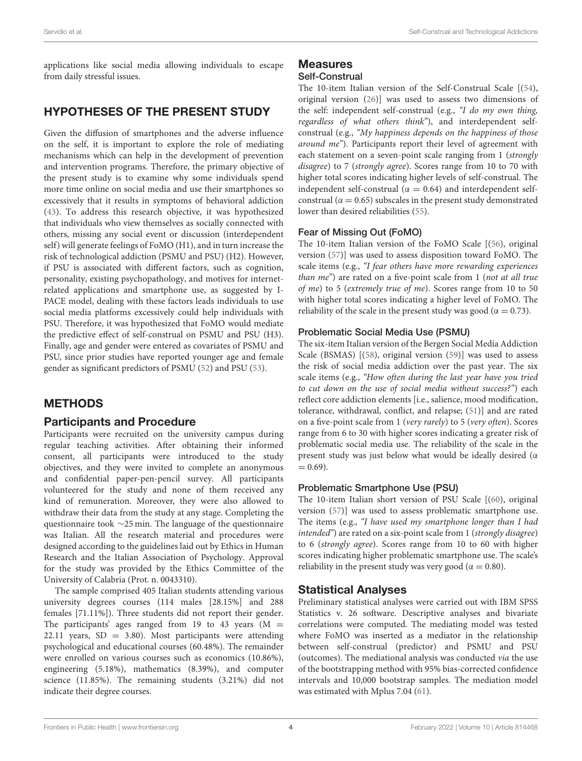applications like social media allowing individuals to escape from daily stressful issues.

### HYPOTHESES OF THE PRESENT STUDY

Given the diffusion of smartphones and the adverse influence on the self, it is important to explore the role of mediating mechanisms which can help in the development of prevention and intervention programs. Therefore, the primary objective of the present study is to examine why some individuals spend more time online on social media and use their smartphones so excessively that it results in symptoms of behavioral addiction [\(43\)](#page-8-10). To address this research objective, it was hypothesized that individuals who view themselves as socially connected with others, missing any social event or discussion (interdependent self) will generate feelings of FoMO (H1), and in turn increase the risk of technological addiction (PSMU and PSU) (H2). However, if PSU is associated with different factors, such as cognition, personality, existing psychopathology, and motives for internetrelated applications and smartphone use, as suggested by I-PACE model, dealing with these factors leads individuals to use social media platforms excessively could help individuals with PSU. Therefore, it was hypothesized that FoMO would mediate the predictive effect of self-construal on PSMU and PSU (H3). Finally, age and gender were entered as covariates of PSMU and PSU, since prior studies have reported younger age and female gender as significant predictors of PSMU [\(52\)](#page-8-18) and PSU [\(53\)](#page-8-19).

# METHODS

### Participants and Procedure

Participants were recruited on the university campus during regular teaching activities. After obtaining their informed consent, all participants were introduced to the study objectives, and they were invited to complete an anonymous and confidential paper-pen-pencil survey. All participants volunteered for the study and none of them received any kind of remuneration. Moreover, they were also allowed to withdraw their data from the study at any stage. Completing the questionnaire took ∼25 min. The language of the questionnaire was Italian. All the research material and procedures were designed according to the guidelines laid out by Ethics in Human Research and the Italian Association of Psychology. Approval for the study was provided by the Ethics Committee of the University of Calabria (Prot. n. 0043310).

The sample comprised 405 Italian students attending various university degrees courses (114 males [28.15%] and 288 females [71.11%]). Three students did not report their gender. The participants' ages ranged from 19 to 43 years  $(M =$ 22.11 years,  $SD = 3.80$ . Most participants were attending psychological and educational courses (60.48%). The remainder were enrolled on various courses such as economics (10.86%), engineering (5.18%), mathematics (8.39%), and computer science (11.85%). The remaining students (3.21%) did not indicate their degree courses.

# Measures

#### Self-Construal

The 10-item Italian version of the Self-Construal Scale [[\(54\)](#page-8-20), original version [\(26\)](#page-7-25)] was used to assess two dimensions of the self: independent self-construal (e.g., "I do my own thing, regardless of what others think"), and interdependent selfconstrual (e.g., "My happiness depends on the happiness of those around me"). Participants report their level of agreement with each statement on a seven-point scale ranging from 1 (strongly disagree) to 7 (strongly agree). Scores range from 10 to 70 with higher total scores indicating higher levels of self-construal. The independent self-construal ( $\alpha = 0.64$ ) and interdependent selfconstrual ( $\alpha$  = 0.65) subscales in the present study demonstrated lower than desired reliabilities [\(55\)](#page-8-21).

#### Fear of Missing Out (FoMO)

The 10-item Italian version of the FoMO Scale [[\(56\)](#page-8-22), original version [\(57\)](#page-8-23)] was used to assess disposition toward FoMO. The scale items (e.g., "I fear others have more rewarding experiences than me") are rated on a five-point scale from 1 (not at all true of me) to 5 (extremely true of me). Scores range from 10 to 50 with higher total scores indicating a higher level of FoMO. The reliability of the scale in the present study was good ( $\alpha = 0.73$ ).

#### Problematic Social Media Use (PSMU)

The six-item Italian version of the Bergen Social Media Addiction Scale (BSMAS) [[\(58\)](#page-8-24), original version [\(59\)](#page-8-25)] was used to assess the risk of social media addiction over the past year. The six scale items (e.g., "How often during the last year have you tried to cut down on the use of social media without success?") each reflect core addiction elements [i.e., salience, mood modification, tolerance, withdrawal, conflict, and relapse; [\(51\)](#page-8-17)] and are rated on a five-point scale from 1 (very rarely) to 5 (very often). Scores range from 6 to 30 with higher scores indicating a greater risk of problematic social media use. The reliability of the scale in the present study was just below what would be ideally desired (α  $= 0.69$ ).

#### Problematic Smartphone Use (PSU)

The 10-item Italian short version of PSU Scale [[\(60\)](#page-8-26), original version [\(57\)](#page-8-23)] was used to assess problematic smartphone use. The items (e.g., "I have used my smartphone longer than I had intended") are rated on a six-point scale from 1 (strongly disagree) to 6 (strongly agree). Scores range from 10 to 60 with higher scores indicating higher problematic smartphone use. The scale's reliability in the present study was very good ( $\alpha = 0.80$ ).

### Statistical Analyses

Preliminary statistical analyses were carried out with IBM SPSS Statistics v. 26 software. Descriptive analyses and bivariate correlations were computed. The mediating model was tested where FoMO was inserted as a mediator in the relationship between self-construal (predictor) and PSMU and PSU (outcomes). The mediational analysis was conducted via the use of the bootstrapping method with 95% bias-corrected confidence intervals and 10,000 bootstrap samples. The mediation model was estimated with Mplus 7.04 [\(61\)](#page-8-27).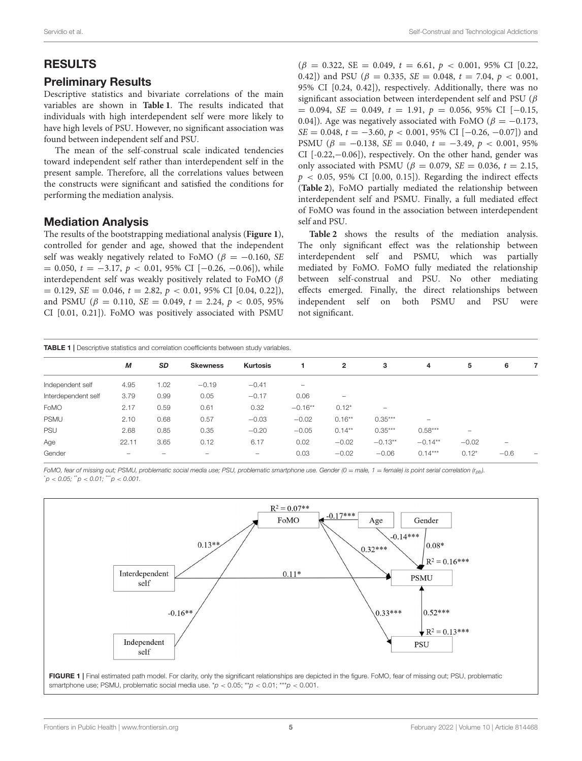#### RESULTS

#### Preliminary Results

Descriptive statistics and bivariate correlations of the main variables are shown in **[Table 1](#page-4-0)**. The results indicated that individuals with high interdependent self were more likely to have high levels of PSU. However, no significant association was found between independent self and PSU.

The mean of the self-construal scale indicated tendencies toward independent self rather than interdependent self in the present sample. Therefore, all the correlations values between the constructs were significant and satisfied the conditions for performing the mediation analysis.

#### Mediation Analysis

The results of the bootstrapping mediational analysis (**[Figure 1](#page-4-1)**), controlled for gender and age, showed that the independent self was weakly negatively related to FoMO ( $\beta = -0.160$ , SE  $= 0.050, t = -3.17, p < 0.01, 95\% \text{ CI } [-0.26, -0.06]$ , while interdependent self was weakly positively related to FoMO ( $\beta$  $= 0.129$ ,  $SE = 0.046$ ,  $t = 2.82$ ,  $p < 0.01$ , 95% CI [0.04, 0.22]), and PSMU ( $\beta = 0.110$ ,  $SE = 0.049$ ,  $t = 2.24$ ,  $p < 0.05$ , 95% CI [0.01, 0.21]). FoMO was positively associated with PSMU  $(\beta = 0.322, \text{ SE} = 0.049, t = 6.61, p < 0.001, 95\% \text{ CI}$  [0.22, 0.42]) and PSU ( $\beta = 0.335$ ,  $SE = 0.048$ ,  $t = 7.04$ ,  $p < 0.001$ , 95% CI [0.24, 0.42]), respectively. Additionally, there was no significant association between interdependent self and PSU ( $\beta$  $= 0.094$ , SE  $= 0.049$ ,  $t = 1.91$ ,  $p = 0.056$ , 95% CI [-0.15, 0.04]). Age was negatively associated with FoMO ( $\beta = -0.173$ ,  $SE = 0.048$ ,  $t = -3.60$ ,  $p < 0.001$ , 95% CI [-0.26, -0.07]) and PSMU ( $\beta = -0.138$ , SE = 0.040,  $t = -3.49$ ,  $p < 0.001$ , 95% CI [-0.22,−0.06]), respectively. On the other hand, gender was only associated with PSMU ( $\beta = 0.079$ , SE = 0.036, t = 2.15,  $p < 0.05$ , 95% CI [0.00, 0.15]). Regarding the indirect effects (**[Table 2](#page-5-0)**), FoMO partially mediated the relationship between interdependent self and PSMU. Finally, a full mediated effect of FoMO was found in the association between interdependent self and PSU.

**[Table 2](#page-5-0)** shows the results of the mediation analysis. The only significant effect was the relationship between interdependent self and PSMU, which was partially mediated by FoMO. FoMO fully mediated the relationship between self-construal and PSU. No other mediating effects emerged. Finally, the direct relationships between independent self on both PSMU and PSU were not significant.

<span id="page-4-0"></span>

|                     | M     | <b>SD</b> | <b>Skewness</b> | <b>Kurtosis</b> |                          | $\overline{2}$           | 3               | 4         | 5       | 6      | 7 |
|---------------------|-------|-----------|-----------------|-----------------|--------------------------|--------------------------|-----------------|-----------|---------|--------|---|
| Independent self    | 4.95  | 1.02      | $-0.19$         | $-0.41$         | $\overline{\phantom{0}}$ |                          |                 |           |         |        |   |
| Interdependent self | 3.79  | 0.99      | 0.05            | $-0.17$         | 0.06                     | $\overline{\phantom{0}}$ |                 |           |         |        |   |
| FoMO                | 2.17  | 0.59      | 0.61            | 0.32            | $-0.16**$                | $0.12*$                  | $\qquad \qquad$ |           |         |        |   |
| <b>PSMU</b>         | 2.10  | 0.68      | 0.57            | $-0.03$         | $-0.02$                  | $0.16***$                | $0.35***$       | -         |         |        |   |
| <b>PSU</b>          | 2.68  | 0.85      | 0.35            | $-0.20$         | $-0.05$                  | $0.14***$                | $0.35***$       | $0.58***$ | -       |        |   |
| Age                 | 22.11 | 3.65      | 0.12            | 6.17            | 0.02                     | $-0.02$                  | $-0.13**$       | $-0.14**$ | $-0.02$ | -      |   |
| Gender              | -     | -         | -               | -               | 0.03                     | $-0.02$                  | $-0.06$         | $0.14***$ | $0.12*$ | $-0.6$ |   |

FoMO, fear of missing out; PSMU, problematic social media use; PSU, problematic smartphone use. Gender (0 = male, 1 = female) is point serial correlation (r<sub>pb</sub>).  $p < 0.05$ ;  $p < 0.01$ ;  $m_p < 0.001$ .

<span id="page-4-1"></span>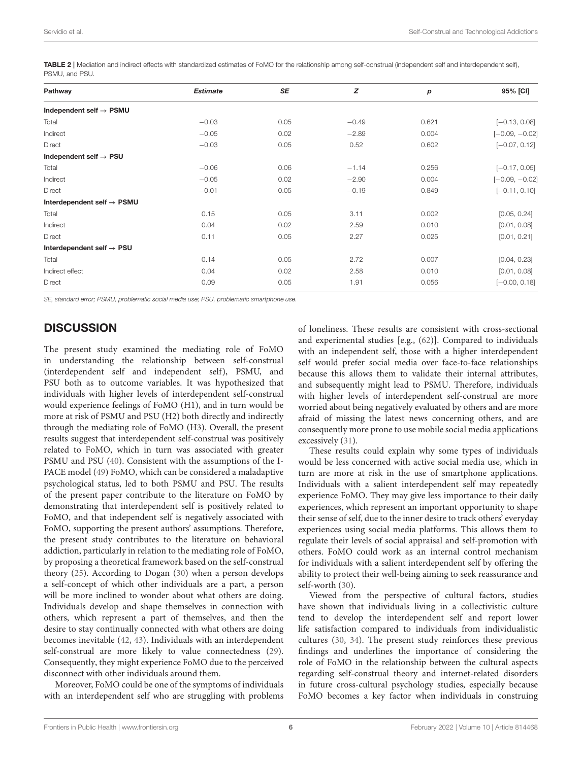<span id="page-5-0"></span>

| TABLE 2   Mediation and indirect effects with standardized estimates of FoMO for the relationship among self-construal (independent self and interdependent self), |  |
|--------------------------------------------------------------------------------------------------------------------------------------------------------------------|--|
| PSMU, and PSU.                                                                                                                                                     |  |

| Pathway                                | <b>Estimate</b> | SE   | z       | $\boldsymbol{p}$ | 95% [CI]         |
|----------------------------------------|-----------------|------|---------|------------------|------------------|
| Independent self $\rightarrow$ PSMU    |                 |      |         |                  |                  |
| Total                                  | $-0.03$         | 0.05 | $-0.49$ | 0.621            | $[-0.13, 0.08]$  |
| Indirect                               | $-0.05$         | 0.02 | $-2.89$ | 0.004            | $[-0.09, -0.02]$ |
| Direct                                 | $-0.03$         | 0.05 | 0.52    | 0.602            | $[-0.07, 0.12]$  |
| Independent self $\rightarrow$ PSU     |                 |      |         |                  |                  |
| Total                                  | $-0.06$         | 0.06 | $-1.14$ | 0.256            | $[-0.17, 0.05]$  |
| Indirect                               | $-0.05$         | 0.02 | $-2.90$ | 0.004            | $[-0.09, -0.02]$ |
| Direct                                 | $-0.01$         | 0.05 | $-0.19$ | 0.849            | $[-0.11, 0.10]$  |
| Interdependent self $\rightarrow$ PSMU |                 |      |         |                  |                  |
| Total                                  | 0.15            | 0.05 | 3.11    | 0.002            | [0.05, 0.24]     |
| Indirect                               | 0.04            | 0.02 | 2.59    | 0.010            | [0.01, 0.08]     |
| Direct                                 | 0.11            | 0.05 | 2.27    | 0.025            | [0.01, 0.21]     |
| Interdependent self $\rightarrow$ PSU  |                 |      |         |                  |                  |
| Total                                  | 0.14            | 0.05 | 2.72    | 0.007            | [0.04, 0.23]     |
| Indirect effect                        | 0.04            | 0.02 | 2.58    | 0.010            | [0.01, 0.08]     |
| Direct                                 | 0.09            | 0.05 | 1.91    | 0.056            | $[-0.00, 0.18]$  |

SE, standard error; PSMU, problematic social media use; PSU, problematic smartphone use.

#### **DISCUSSION**

The present study examined the mediating role of FoMO in understanding the relationship between self-construal (interdependent self and independent self), PSMU, and PSU both as to outcome variables. It was hypothesized that individuals with higher levels of interdependent self-construal would experience feelings of FoMO (H1), and in turn would be more at risk of PSMU and PSU (H2) both directly and indirectly through the mediating role of FoMO (H3). Overall, the present results suggest that interdependent self-construal was positively related to FoMO, which in turn was associated with greater PSMU and PSU [\(40\)](#page-8-7). Consistent with the assumptions of the I-PACE model [\(49\)](#page-8-15) FoMO, which can be considered a maladaptive psychological status, led to both PSMU and PSU. The results of the present paper contribute to the literature on FoMO by demonstrating that interdependent self is positively related to FoMO, and that independent self is negatively associated with FoMO, supporting the present authors' assumptions. Therefore, the present study contributes to the literature on behavioral addiction, particularly in relation to the mediating role of FoMO, by proposing a theoretical framework based on the self-construal theory [\(25\)](#page-7-24). According to Dogan [\(30\)](#page-7-29) when a person develops a self-concept of which other individuals are a part, a person will be more inclined to wonder about what others are doing. Individuals develop and shape themselves in connection with others, which represent a part of themselves, and then the desire to stay continually connected with what others are doing becomes inevitable [\(42,](#page-8-9) [43\)](#page-8-10). Individuals with an interdependent self-construal are more likely to value connectedness [\(29\)](#page-7-28). Consequently, they might experience FoMO due to the perceived disconnect with other individuals around them.

Moreover, FoMO could be one of the symptoms of individuals with an interdependent self who are struggling with problems of loneliness. These results are consistent with cross-sectional and experimental studies [e.g., [\(62\)](#page-8-28)]. Compared to individuals with an independent self, those with a higher interdependent self would prefer social media over face-to-face relationships because this allows them to validate their internal attributes, and subsequently might lead to PSMU. Therefore, individuals with higher levels of interdependent self-construal are more worried about being negatively evaluated by others and are more afraid of missing the latest news concerning others, and are consequently more prone to use mobile social media applications excessively [\(31\)](#page-7-30).

These results could explain why some types of individuals would be less concerned with active social media use, which in turn are more at risk in the use of smartphone applications. Individuals with a salient interdependent self may repeatedly experience FoMO. They may give less importance to their daily experiences, which represent an important opportunity to shape their sense of self, due to the inner desire to track others' everyday experiences using social media platforms. This allows them to regulate their levels of social appraisal and self-promotion with others. FoMO could work as an internal control mechanism for individuals with a salient interdependent self by offering the ability to protect their well-being aiming to seek reassurance and self-worth [\(30\)](#page-7-29).

Viewed from the perspective of cultural factors, studies have shown that individuals living in a collectivistic culture tend to develop the interdependent self and report lower life satisfaction compared to individuals from individualistic cultures [\(30,](#page-7-29) [34\)](#page-8-1). The present study reinforces these previous findings and underlines the importance of considering the role of FoMO in the relationship between the cultural aspects regarding self-construal theory and internet-related disorders in future cross-cultural psychology studies, especially because FoMO becomes a key factor when individuals in construing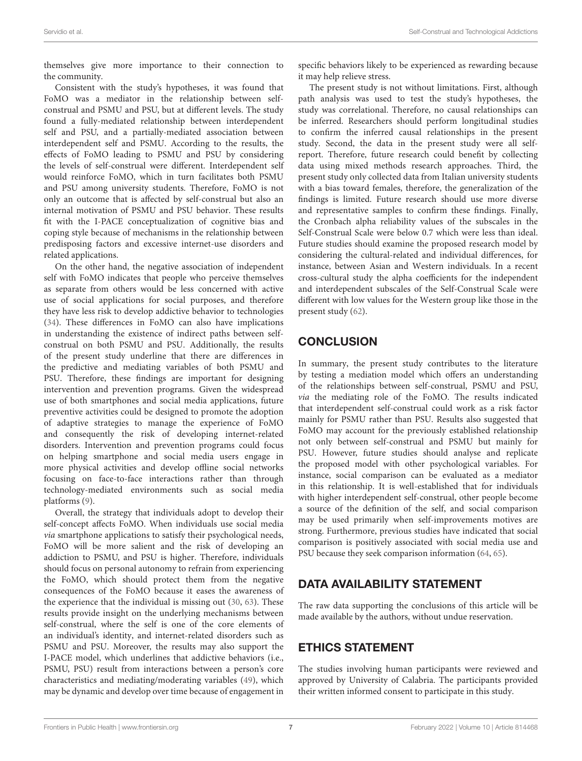themselves give more importance to their connection to the community.

Consistent with the study's hypotheses, it was found that FoMO was a mediator in the relationship between selfconstrual and PSMU and PSU, but at different levels. The study found a fully-mediated relationship between interdependent self and PSU, and a partially-mediated association between interdependent self and PSMU. According to the results, the effects of FoMO leading to PSMU and PSU by considering the levels of self-construal were different. Interdependent self would reinforce FoMO, which in turn facilitates both PSMU and PSU among university students. Therefore, FoMO is not only an outcome that is affected by self-construal but also an internal motivation of PSMU and PSU behavior. These results fit with the I-PACE conceptualization of cognitive bias and coping style because of mechanisms in the relationship between predisposing factors and excessive internet-use disorders and related applications.

On the other hand, the negative association of independent self with FoMO indicates that people who perceive themselves as separate from others would be less concerned with active use of social applications for social purposes, and therefore they have less risk to develop addictive behavior to technologies [\(34\)](#page-8-1). These differences in FoMO can also have implications in understanding the existence of indirect paths between selfconstrual on both PSMU and PSU. Additionally, the results of the present study underline that there are differences in the predictive and mediating variables of both PSMU and PSU. Therefore, these findings are important for designing intervention and prevention programs. Given the widespread use of both smartphones and social media applications, future preventive activities could be designed to promote the adoption of adaptive strategies to manage the experience of FoMO and consequently the risk of developing internet-related disorders. Intervention and prevention programs could focus on helping smartphone and social media users engage in more physical activities and develop offline social networks focusing on face-to-face interactions rather than through technology-mediated environments such as social media platforms [\(9\)](#page-7-8).

Overall, the strategy that individuals adopt to develop their self-concept affects FoMO. When individuals use social media via smartphone applications to satisfy their psychological needs, FoMO will be more salient and the risk of developing an addiction to PSMU, and PSU is higher. Therefore, individuals should focus on personal autonomy to refrain from experiencing the FoMO, which should protect them from the negative consequences of the FoMO because it eases the awareness of the experience that the individual is missing out [\(30,](#page-7-29) [63\)](#page-8-29). These results provide insight on the underlying mechanisms between self-construal, where the self is one of the core elements of an individual's identity, and internet-related disorders such as PSMU and PSU. Moreover, the results may also support the I-PACE model, which underlines that addictive behaviors (i.e., PSMU, PSU) result from interactions between a person's core characteristics and mediating/moderating variables [\(49\)](#page-8-15), which may be dynamic and develop over time because of engagement in

specific behaviors likely to be experienced as rewarding because it may help relieve stress.

The present study is not without limitations. First, although path analysis was used to test the study's hypotheses, the study was correlational. Therefore, no causal relationships can be inferred. Researchers should perform longitudinal studies to confirm the inferred causal relationships in the present study. Second, the data in the present study were all selfreport. Therefore, future research could benefit by collecting data using mixed methods research approaches. Third, the present study only collected data from Italian university students with a bias toward females, therefore, the generalization of the findings is limited. Future research should use more diverse and representative samples to confirm these findings. Finally, the Cronbach alpha reliability values of the subscales in the Self-Construal Scale were below 0.7 which were less than ideal. Future studies should examine the proposed research model by considering the cultural-related and individual differences, for instance, between Asian and Western individuals. In a recent cross-cultural study the alpha coefficients for the independent and interdependent subscales of the Self-Construal Scale were different with low values for the Western group like those in the present study [\(62\)](#page-8-28).

### **CONCLUSION**

In summary, the present study contributes to the literature by testing a mediation model which offers an understanding of the relationships between self-construal, PSMU and PSU, via the mediating role of the FoMO. The results indicated that interdependent self-construal could work as a risk factor mainly for PSMU rather than PSU. Results also suggested that FoMO may account for the previously established relationship not only between self-construal and PSMU but mainly for PSU. However, future studies should analyse and replicate the proposed model with other psychological variables. For instance, social comparison can be evaluated as a mediator in this relationship. It is well-established that for individuals with higher interdependent self-construal, other people become a source of the definition of the self, and social comparison may be used primarily when self-improvements motives are strong. Furthermore, previous studies have indicated that social comparison is positively associated with social media use and PSU because they seek comparison information [\(64,](#page-8-30) [65\)](#page-8-31).

# DATA AVAILABILITY STATEMENT

The raw data supporting the conclusions of this article will be made available by the authors, without undue reservation.

### ETHICS STATEMENT

The studies involving human participants were reviewed and approved by University of Calabria. The participants provided their written informed consent to participate in this study.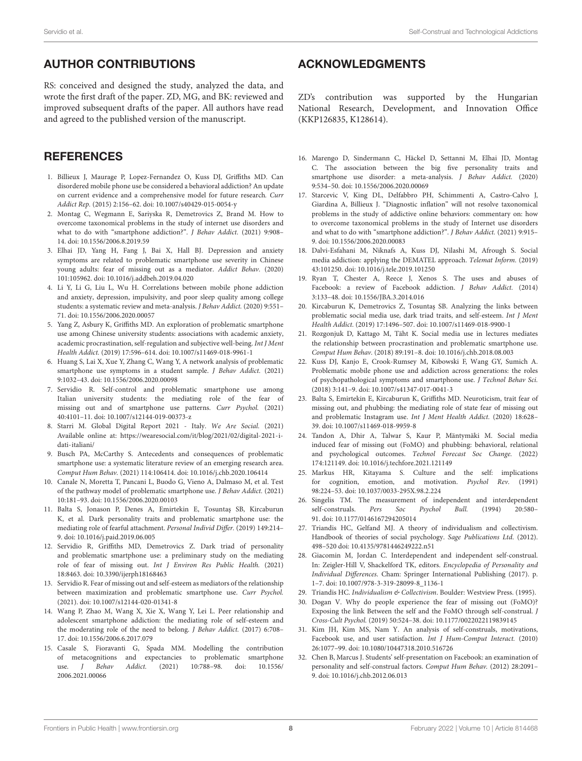### AUTHOR CONTRIBUTIONS

RS: conceived and designed the study, analyzed the data, and wrote the first draft of the paper. ZD, MG, and BK: reviewed and improved subsequent drafts of the paper. All authors have read and agreed to the published version of the manuscript.

#### **REFERENCES**

- <span id="page-7-0"></span>1. Billieux J, Maurage P, Lopez-Fernandez O, Kuss DJ, Griffiths MD. Can disordered mobile phone use be considered a behavioral addiction? An update on current evidence and a comprehensive model for future research. Curr Addict Rep. (2015) 2:156–62. doi: [10.1007/s40429-015-0054-y](https://doi.org/10.1007/s40429-015-0054-y)
- <span id="page-7-1"></span>2. Montag C, Wegmann E, Sariyska R, Demetrovics Z, Brand M. How to overcome taxonomical problems in the study of internet use disorders and what to do with "smartphone addiction?". J Behav Addict. (2021) 9:908-14. doi: [10.1556/2006.8.2019.59](https://doi.org/10.1556/2006.8.2019.59)
- <span id="page-7-2"></span>3. Elhai JD, Yang H, Fang J, Bai X, Hall BJ. Depression and anxiety symptoms are related to problematic smartphone use severity in Chinese young adults: fear of missing out as a mediator. Addict Behav. (2020) 101:105962. doi: [10.1016/j.addbeh.2019.04.020](https://doi.org/10.1016/j.addbeh.2019.04.020)
- <span id="page-7-3"></span>4. Li Y, Li G, Liu L, Wu H. Correlations between mobile phone addiction and anxiety, depression, impulsivity, and poor sleep quality among college students: a systematic review and meta-analysis. J Behav Addict. (2020) 9:551– 71. doi: [10.1556/2006.2020.00057](https://doi.org/10.1556/2006.2020.00057)
- <span id="page-7-4"></span>5. Yang Z, Asbury K, Griffiths MD. An exploration of problematic smartphone use among Chinese university students: associations with academic anxiety, academic procrastination, self-regulation and subjective well-being. Int J Ment Health Addict. (2019) 17:596–614. doi: [10.1007/s11469-018-9961-1](https://doi.org/10.1007/s11469-018-9961-1)
- <span id="page-7-5"></span>6. Huang S, Lai X, Xue Y, Zhang C, Wang Y, A network analysis of problematic smartphone use symptoms in a student sample. J Behav Addict. (2021) 9:1032–43. doi: [10.1556/2006.2020.00098](https://doi.org/10.1556/2006.2020.00098)
- <span id="page-7-6"></span>7. Servidio R. Self-control and problematic smartphone use among Italian university students: the mediating role of the fear of missing out and of smartphone use patterns. Curr Psychol. (2021) 40:4101–11. doi: [10.1007/s12144-019-00373-z](https://doi.org/10.1007/s12144-019-00373-z)
- <span id="page-7-7"></span>8. Starri M. Global Digital Report 2021 - Italy. We Are Social. (2021) Available online at: [https://wearesocial.com/it/blog/2021/02/digital-2021-i](https://wearesocial.com/it/blog/2021/02/digital-2021-i-dati-italiani/)[dati-italiani/](https://wearesocial.com/it/blog/2021/02/digital-2021-i-dati-italiani/)
- <span id="page-7-8"></span>9. Busch PA, McCarthy S. Antecedents and consequences of problematic smartphone use: a systematic literature review of an emerging research area. Comput Hum Behav. (2021) 114:106414. doi: [10.1016/j.chb.2020.106414](https://doi.org/10.1016/j.chb.2020.106414)
- <span id="page-7-9"></span>10. Canale N, Moretta T, Pancani L, Buodo G, Vieno A, Dalmaso M, et al. Test of the pathway model of problematic smartphone use. J Behav Addict. (2021) 10:181–93. doi: [10.1556/2006.2020.00103](https://doi.org/10.1556/2006.2020.00103)
- <span id="page-7-10"></span>11. Balta S, Jonason P, Denes A, Emirtekin E, Tosuntaş SB, Kircaburun K, et al. Dark personality traits and problematic smartphone use: the mediating role of fearful attachment. Personal Individ Differ. (2019) 149:214– 9. doi: [10.1016/j.paid.2019.06.005](https://doi.org/10.1016/j.paid.2019.06.005)
- <span id="page-7-11"></span>12. Servidio R, Griffiths MD, Demetrovics Z. Dark triad of personality and problematic smartphone use: a preliminary study on the mediating role of fear of missing out. Int J Environ Res Public Health. (2021) 18:8463. doi: [10.3390/ijerph18168463](https://doi.org/10.3390/ijerph18168463)
- <span id="page-7-12"></span>13. Servidio R. Fear of missing out and self-esteem as mediators of the relationship between maximization and problematic smartphone use. Curr Psychol. (2021). doi: [10.1007/s12144-020-01341-8](https://doi.org/10.1007/s12144-020-01341-8)
- <span id="page-7-13"></span>14. Wang P, Zhao M, Wang X, Xie X, Wang Y, Lei L. Peer relationship and adolescent smartphone addiction: the mediating role of self-esteem and the moderating role of the need to belong. J Behav Addict. (2017) 6:708– 17. doi: [10.1556/2006.6.2017.079](https://doi.org/10.1556/2006.6.2017.079)
- <span id="page-7-14"></span>15. Casale S, Fioravanti G, Spada MM. Modelling the contribution of metacognitions and expectancies to problematic smartphone use. J Behav Addict. [\(2021\) 10:788–98. doi: 10.1556/](https://doi.org/10.1556/2006.2021.00066) 2006.2021.00066

#### ACKNOWLEDGMENTS

ZD's contribution was supported by the Hungarian National Research, Development, and Innovation Office (KKP126835, K128614).

- <span id="page-7-15"></span>16. Marengo D, Sindermann C, Häckel D, Settanni M, Elhai JD, Montag C. The association between the big five personality traits and smartphone use disorder: a meta-analysis. J Behav Addict. (2020) 9:534–50. doi: [10.1556/2006.2020.00069](https://doi.org/10.1556/2006.2020.00069)
- <span id="page-7-16"></span>17. Starcevic V, King DL, Delfabbro PH, Schimmenti A, Castro-Calvo J, Giardina A, Billieux J. "Diagnostic inflation" will not resolve taxonomical problems in the study of addictive online behaviors: commentary on: how to overcome taxonomical problems in the study of Internet use disorders and what to do with "smartphone addiction?". J Behav Addict. (2021) 9:915– 9. doi: [10.1556/2006.2020.00083](https://doi.org/10.1556/2006.2020.00083)
- <span id="page-7-17"></span>18. Dalvi-Esfahani M, Niknafs A, Kuss DJ, Nilashi M, Afrough S. Social media addiction: applying the DEMATEL approach. Telemat Inform. (2019) 43:101250. doi: [10.1016/j.tele.2019.101250](https://doi.org/10.1016/j.tele.2019.101250)
- <span id="page-7-18"></span>19. Ryan T, Chester A, Reece J, Xenos S. The uses and abuses of Facebook: a review of Facebook addiction. J Behav Addict. (2014) 3:133–48. doi: [10.1556/JBA.3.2014.016](https://doi.org/10.1556/JBA.3.2014.016)
- <span id="page-7-19"></span>20. Kircaburun K, Demetrovics Z, Tosuntaş SB. Analyzing the links between problematic social media use, dark triad traits, and self-esteem. Int J Ment Health Addict. (2019) 17:1496–507. doi: [10.1007/s11469-018-9900-1](https://doi.org/10.1007/s11469-018-9900-1)
- <span id="page-7-20"></span>21. Rozgonjuk D, Kattago M, Täht K. Social media use in lectures mediates the relationship between procrastination and problematic smartphone use. Comput Hum Behav. (2018) 89:191–8. doi: [10.1016/j.chb.2018.08.003](https://doi.org/10.1016/j.chb.2018.08.003)
- <span id="page-7-21"></span>22. Kuss DJ, Kanjo E, Crook-Rumsey M, Kibowski F, Wang GY, Sumich A. Problematic mobile phone use and addiction across generations: the roles of psychopathological symptoms and smartphone use. J Technol Behav Sci. (2018) 3:141–9. doi: [10.1007/s41347-017-0041-3](https://doi.org/10.1007/s41347-017-0041-3)
- <span id="page-7-22"></span>23. Balta S, Emirtekin E, Kircaburun K, Griffiths MD. Neuroticism, trait fear of missing out, and phubbing: the mediating role of state fear of missing out and problematic Instagram use. Int J Ment Health Addict. (2020) 18:628– 39. doi: [10.1007/s11469-018-9959-8](https://doi.org/10.1007/s11469-018-9959-8)
- <span id="page-7-23"></span>24. Tandon A, Dhir A, Talwar S, Kaur P, Mäntymäki M. Social media induced fear of missing out (FoMO) and phubbing: behavioral, relational and psychological outcomes. Technol Forecast Soc Change. (2022) 174:121149. doi: [10.1016/j.techfore.2021.121149](https://doi.org/10.1016/j.techfore.2021.121149)
- <span id="page-7-24"></span>25. Markus HR, Kitayama S. Culture and the self: implications for cognition, emotion, and motivation. Psychol Rev. (1991) 98:224–53. doi: [10.1037/0033-295X.98.2.224](https://doi.org/10.1037/0033-295X.98.2.224)
- <span id="page-7-25"></span>26. Singelis TM. The measurement of independent and interdependent self-construals. Pers Soc Psychol Bull. (1994) 20:580– 91. doi: [10.1177/0146167294205014](https://doi.org/10.1177/0146167294205014)
- <span id="page-7-26"></span>27. Triandis HC, Gelfand MJ. A theory of individualism and collectivism. Handbook of theories of social psychology. Sage Publications Ltd. (2012). 498–520 doi: [10.4135/9781446249222.n51](https://doi.org/10.4135/9781446249222.n51)
- <span id="page-7-27"></span>28. Giacomin M, Jordan C. Interdependent and independent self-construal. In: Zeigler-Hill V, Shackelford TK, editors. Encyclopedia of Personality and Individual Differences. Cham: Springer International Publishing (2017). p. 1–7. doi: [10.1007/978-3-319-28099-8\\_1136-1](https://doi.org/10.1007/978-3-319-28099-8_1136-1)
- <span id="page-7-28"></span>29. Triandis HC. Individualism & Collectivism. Boulder: Westview Press. (1995).
- <span id="page-7-29"></span>30. Dogan V. Why do people experience the fear of missing out (FoMO)? Exposing the link Between the self and the FoMO through self-construal. J Cross-Cult Psychol. (2019) 50:524–38. doi: [10.1177/0022022119839145](https://doi.org/10.1177/0022022119839145)
- <span id="page-7-30"></span>31. Kim JH, Kim MS, Nam Y. An analysis of self-construals, motivations, Facebook use, and user satisfaction. Int J Hum-Comput Interact. (2010) 26:1077–99. doi: [10.1080/10447318.2010.516726](https://doi.org/10.1080/10447318.2010.516726)
- <span id="page-7-31"></span>32. Chen B, Marcus J. Students' self-presentation on Facebook: an examination of personality and self-construal factors. Comput Hum Behav. (2012) 28:2091– 9. doi: [10.1016/j.chb.2012.06.013](https://doi.org/10.1016/j.chb.2012.06.013)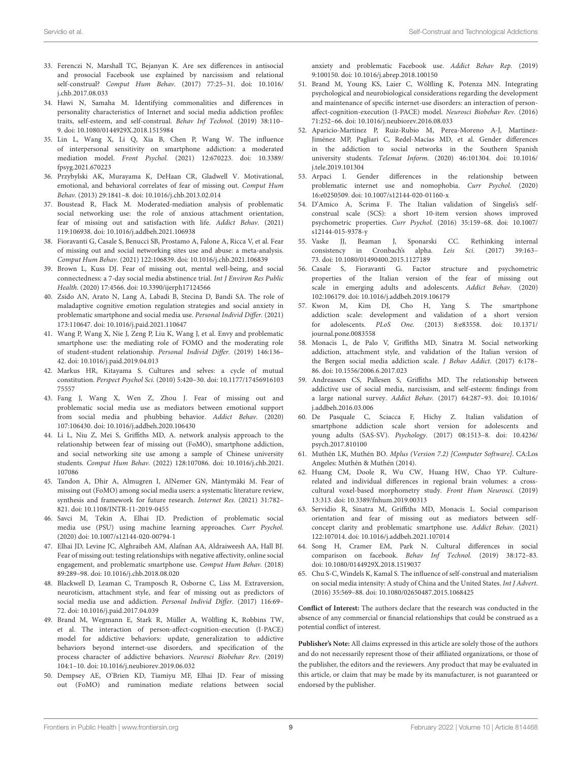- <span id="page-8-0"></span>33. Ferenczi N, Marshall TC, Bejanyan K. Are sex differences in antisocial and prosocial Facebook use explained by narcissism and relational self-construal? Comput Hum Behav. [\(2017\) 77:25–31. doi: 10.1016/](https://doi.org/10.1016/j.chb.2017.08.033) j.chb.2017.08.033
- <span id="page-8-1"></span>34. Hawi N, Samaha M. Identifying commonalities and differences in personality characteristics of Internet and social media addiction profiles: traits, self-esteem, and self-construal. Behav Inf Technol. (2019) 38:110– 9. doi: [10.1080/0144929X.2018.1515984](https://doi.org/10.1080/0144929X.2018.1515984)
- <span id="page-8-2"></span>35. Lin L, Wang X, Li Q, Xia B, Chen P, Wang W. The influence of interpersonal sensitivity on smartphone addiction: a moderated mediation model. Front Psychol. [\(2021\) 12:670223. doi: 10.3389/](https://doi.org/10.3389/fpsyg.2021.670223) fpsyg.2021.670223
- <span id="page-8-3"></span>36. Przybylski AK, Murayama K, DeHaan CR, Gladwell V. Motivational, emotional, and behavioral correlates of fear of missing out. Comput Hum Behav. (2013) 29:1841–8. doi: [10.1016/j.chb.2013.02.014](https://doi.org/10.1016/j.chb.2013.02.014)
- <span id="page-8-4"></span>37. Boustead R, Flack M. Moderated-mediation analysis of problematic social networking use: the role of anxious attachment orientation, fear of missing out and satisfaction with life. Addict Behav. (2021) 119:106938. doi: [10.1016/j.addbeh.2021.106938](https://doi.org/10.1016/j.addbeh.2021.106938)
- <span id="page-8-5"></span>38. Fioravanti G, Casale S, Benucci SB, Prostamo A, Falone A, Ricca V, et al. Fear of missing out and social networking sites use and abuse: a meta-analysis. Comput Hum Behav. (2021) 122:106839. doi: [10.1016/j.chb.2021.106839](https://doi.org/10.1016/j.chb.2021.106839)
- <span id="page-8-6"></span>39. Brown L, Kuss DJ. Fear of missing out, mental well-being, and social connectedness: a 7-day social media abstinence trial. Int J Environ Res Public Health. (2020) 17:4566. doi: [10.3390/ijerph17124566](https://doi.org/10.3390/ijerph17124566)
- <span id="page-8-7"></span>40. Zsido AN, Arato N, Lang A, Labadi B, Stecina D, Bandi SA. The role of maladaptive cognitive emotion regulation strategies and social anxiety in problematic smartphone and social media use. Personal Individ Differ. (2021) 173:110647. doi: [10.1016/j.paid.2021.110647](https://doi.org/10.1016/j.paid.2021.110647)
- <span id="page-8-8"></span>41. Wang P, Wang X, Nie J, Zeng P, Liu K, Wang J, et al. Envy and problematic smartphone use: the mediating role of FOMO and the moderating role of student-student relationship. Personal Individ Differ. (2019) 146:136– 42. doi: [10.1016/j.paid.2019.04.013](https://doi.org/10.1016/j.paid.2019.04.013)
- <span id="page-8-9"></span>42. Markus HR, Kitayama S. Cultures and selves: a cycle of mutual constitution. Perspect Psychol Sci. [\(2010\) 5:420–30. doi: 10.1177/17456916103](https://doi.org/10.1177/1745691610375557) 75557
- <span id="page-8-10"></span>43. Fang J, Wang X, Wen Z, Zhou J. Fear of missing out and problematic social media use as mediators between emotional support from social media and phubbing behavior. Addict Behav. (2020) 107:106430. doi: [10.1016/j.addbeh.2020.106430](https://doi.org/10.1016/j.addbeh.2020.106430)
- <span id="page-8-11"></span>44. Li L, Niu Z, Mei S, Griffiths MD, A. network analysis approach to the relationship between fear of missing out (FoMO), smartphone addiction, and social networking site use among a sample of Chinese university students. Comput Hum Behav. [\(2022\) 128:107086. doi: 10.1016/j.chb.2021.](https://doi.org/10.1016/j.chb.2021.107086) 107086
- <span id="page-8-12"></span>45. Tandon A, Dhir A, Almugren I, AlNemer GN, Mäntymäki M. Fear of missing out (FoMO) among social media users: a systematic literature review, synthesis and framework for future research. Internet Res. (2021) 31:782– 821. doi: [10.1108/INTR-11-2019-0455](https://doi.org/10.1108/INTR-11-2019-0455)
- 46. Savci M, Tekin A, Elhai JD. Prediction of problematic social media use (PSU) using machine learning approaches. Curr Psychol. (2020) doi: [10.1007/s12144-020-00794-1](https://doi.org/10.1007/s12144-020-00794-1)
- <span id="page-8-13"></span>47. Elhai JD, Levine JC, Alghraibeh AM, Alafnan AA, Aldraiweesh AA, Hall BJ. Fear of missing out: testing relationships with negative affectivity, online social engagement, and problematic smartphone use. Comput Hum Behav. (2018) 89:289–98. doi: [10.1016/j.chb.2018.08.020](https://doi.org/10.1016/j.chb.2018.08.020)
- <span id="page-8-14"></span>48. Blackwell D, Leaman C, Tramposch R, Osborne C, Liss M. Extraversion, neuroticism, attachment style, and fear of missing out as predictors of social media use and addiction. Personal Individ Differ. (2017) 116:69– 72. doi: [10.1016/j.paid.2017.04.039](https://doi.org/10.1016/j.paid.2017.04.039)
- <span id="page-8-15"></span>49. Brand M, Wegmann E, Stark R, Müller A, Wölfling K, Robbins TW, et al. The interaction of person-affect-cognition-execution (I-PACE) model for addictive behaviors: update, generalization to addictive behaviors beyond internet-use disorders, and specification of the process character of addictive behaviors. Neurosci Biobehav Rev. (2019) 104:1–10. doi: [10.1016/j.neubiorev.2019.06.032](https://doi.org/10.1016/j.neubiorev.2019.06.032)
- <span id="page-8-16"></span>50. Dempsey AE, O'Brien KD, Tiamiyu MF, Elhai JD. Fear of missing out (FoMO) and rumination mediate relations between social

anxiety and problematic Facebook use. Addict Behav Rep. (2019) 9:100150. doi: [10.1016/j.abrep.2018.100150](https://doi.org/10.1016/j.abrep.2018.100150)

- <span id="page-8-17"></span>51. Brand M, Young KS, Laier C, Wölfling K, Potenza MN. Integrating psychological and neurobiological considerations regarding the development and maintenance of specific internet-use disorders: an interaction of personaffect-cognition-execution (I-PACE) model. Neurosci Biobehav Rev. (2016) 71:252–66. doi: [10.1016/j.neubiorev.2016.08.033](https://doi.org/10.1016/j.neubiorev.2016.08.033)
- <span id="page-8-18"></span>52. Aparicio-Martínez P, Ruiz-Rubio M, Perea-Moreno A-J, Martínez-Jiménez MP, Pagliari C, Redel-Macías MD, et al. Gender differences in the addiction to social networks in the Southern Spanish university students. Telemat Inform. [\(2020\) 46:101304. doi: 10.1016/](https://doi.org/10.1016/j.tele.2019.101304) j.tele.2019.101304
- <span id="page-8-19"></span>53. Arpaci I. Gender differences in the relationship between problematic internet use and nomophobia. Curr Psychol. (2020) 16:e0250509. doi: [10.1007/s12144-020-01160-x](https://doi.org/10.1007/s12144-020-01160-x)
- <span id="page-8-20"></span>54. D'Amico A, Scrima F. The Italian validation of Singelis's selfconstrual scale (SCS): a short 10-item version shows improved psychometric properties. Curr Psychol. [\(2016\) 35:159–68. doi: 10.1007/](https://doi.org/10.1007/s12144-015-9378-y) s12144-015-9378-y
- <span id="page-8-21"></span>55. Vaske JJ, Beaman J, Sponarski CC. Rethinking internal consistency in Cronbach's alpha. Leis Sci. (2017) 39:163– 73. doi: [10.1080/01490400.2015.1127189](https://doi.org/10.1080/01490400.2015.1127189)
- <span id="page-8-22"></span>56. Casale S, Fioravanti G. Factor structure and psychometric properties of the Italian version of the fear of missing out scale in emerging adults and adolescents. Addict Behav. (2020) 102:106179. doi: [10.1016/j.addbeh.2019.106179](https://doi.org/10.1016/j.addbeh.2019.106179)
- <span id="page-8-23"></span>57. Kwon M, Kim DJ, Cho H, Yang S. The smartphone addiction scale: development and validation of a short version for adolescents. PLoS One. [\(2013\) 8:e83558. doi: 10.1371/](https://doi.org/10.1371/journal.pone.0083558) journal.pone.0083558
- <span id="page-8-24"></span>58. Monacis L, de Palo V, Griffiths MD, Sinatra M. Social networking addiction, attachment style, and validation of the Italian version of the Bergen social media addiction scale. J Behav Addict. (2017) 6:178-86. doi: [10.1556/2006.6.2017.023](https://doi.org/10.1556/2006.6.2017.023)
- <span id="page-8-25"></span>59. Andreassen CS, Pallesen S, Griffiths MD. The relationship between addictive use of social media, narcissism, and self-esteem: findings from a large national survey. Addict Behav. [\(2017\) 64:287–93. doi: 10.1016/](https://doi.org/10.1016/j.addbeh.2016.03.006) j.addbeh.2016.03.006
- <span id="page-8-26"></span>60. De Pasquale C, Sciacca F, Hichy Z. Italian validation of smartphone addiction scale short version for adolescents and young adults (SAS-SV). Psychology. [\(2017\) 08:1513–8. doi: 10.4236/](https://doi.org/10.4236/psych.2017.810100) psych.2017.810100
- <span id="page-8-27"></span>61. Muthén LK, Muthén BO. Mplus (Version 7.2) [Computer Software]. CA:Los Angeles: Muthén & Muthén (2014).
- <span id="page-8-28"></span>62. Huang CM, Doole R, Wu CW, Huang HW, Chao YP. Culturerelated and individual differences in regional brain volumes: a crosscultural voxel-based morphometry study. Front Hum Neurosci. (2019) 13:313. doi: [10.3389/fnhum.2019.00313](https://doi.org/10.3389/fnhum.2019.00313~)
- <span id="page-8-29"></span>63. Servidio R, Sinatra M, Griffiths MD, Monacis L. Social comparison orientation and fear of missing out as mediators between selfconcept clarity and problematic smartphone use. Addict Behav. (2021) 122:107014. doi: [10.1016/j.addbeh.2021.107014](https://doi.org/10.1016/j.addbeh.2021.107014)
- <span id="page-8-30"></span>64. Song H, Cramer EM, Park N. Cultural differences in social comparison on facebook. Behav Inf Technol. (2019) 38:172–83. doi: [10.1080/0144929X.2018.1519037](https://doi.org/10.1080/0144929X.2018.1519037)
- <span id="page-8-31"></span>65. Chu S-C, Windels K, Kamal S. The influence of self-construal and materialism on social media intensity: A study of China and the United States. Int J Advert. (2016) 35:569–88. doi: [10.1080/02650487.2015.1068425](https://doi.org/10.1080/02650487.2015.1068425)

**Conflict of Interest:** The authors declare that the research was conducted in the absence of any commercial or financial relationships that could be construed as a potential conflict of interest.

**Publisher's Note:** All claims expressed in this article are solely those of the authors and do not necessarily represent those of their affiliated organizations, or those of the publisher, the editors and the reviewers. Any product that may be evaluated in this article, or claim that may be made by its manufacturer, is not guaranteed or endorsed by the publisher.